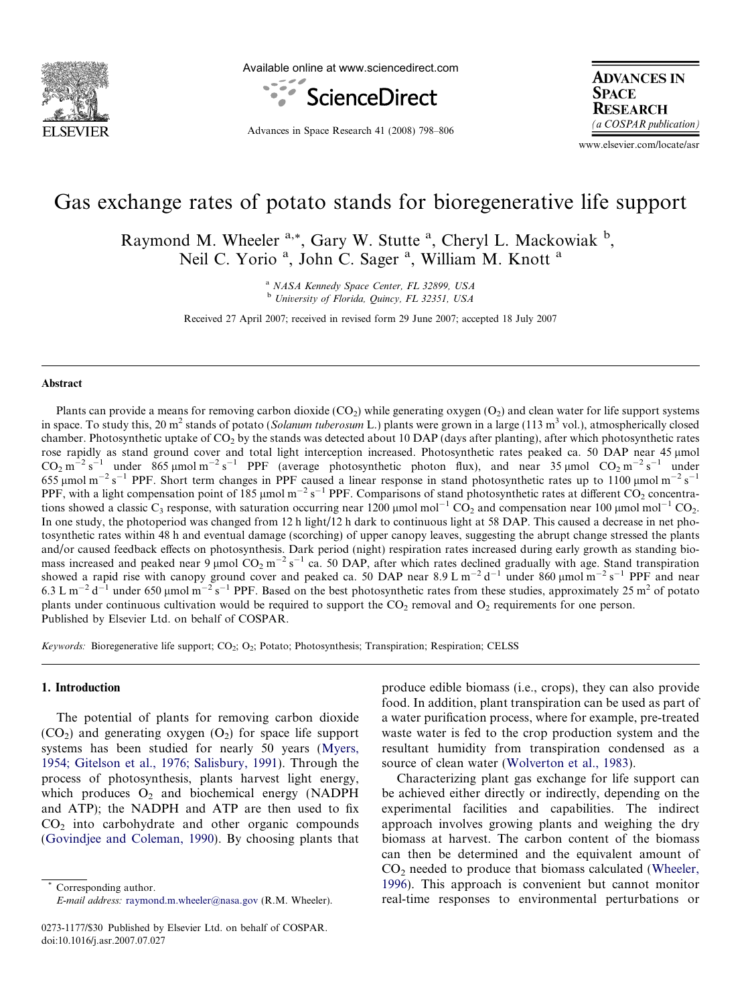

Available online at www.sciencedirect.com



Advances in Space Research 41 (2008) 798–806

**ADVANCES IN SPACE RESEARCH** (a COSPAR publication)

www.elsevier.com/locate/asr

# Gas exchange rates of potato stands for bioregenerative life support

Raymond M. Wheeler <sup>a,\*</sup>, Gary W. Stutte <sup>a</sup>, Cheryl L. Mackowiak <sup>b</sup>, Neil C. Yorio<sup>a</sup>, John C. Sager<sup>a</sup>, William M. Knott<sup>a</sup>

> <sup>a</sup> NASA Kennedy Space Center, FL 32899, USA <sup>b</sup> University of Florida, Quincy, FL 32351, USA

Received 27 April 2007; received in revised form 29 June 2007; accepted 18 July 2007

## Abstract

Plants can provide a means for removing carbon dioxide  $(CO_2)$  while generating oxygen  $(O_2)$  and clean water for life support systems in space. To study this, 20 m<sup>2</sup> stands of potato (Solanum tuberosum L.) plants were grown in a large (113 m<sup>3</sup> vol.), atmospherically closed chamber. Photosynthetic uptake of  $CO<sub>2</sub>$  by the stands was detected about 10 DAP (days after planting), after which photosynthetic rates rose rapidly as stand ground cover and total light interception increased. Photosynthetic rates peaked ca. 50 DAP near 45 umol  $CO_2$  m<sup>-2</sup> s<sup>-1</sup> under 865 µmol m<sup>-2</sup> s<sup>-1</sup> PPF (average photosynthetic photon flux), and near 35 µmol  $CO_2$  m<sup>-2</sup> s<sup>-1</sup> under 655 µmol m<sup>-2</sup> s<sup>-1</sup> PPF. Short term changes in PPF caused a linear response in stand photosynthetic rates up to 1100 µmol m<sup>-2</sup> s<sup>-1</sup> PPF, with a light compensation point of 185  $\mu$ mol m<sup>-2</sup> s<sup>-1</sup> PPF. Comparisons of stand photosynthetic rates at different CO<sub>2</sub> concentrations showed a classic C<sub>3</sub> response, with saturation occurring near 1200  $\mu$ mol mol<sup>-1</sup> CO<sub>2</sub> and compensation near 100  $\mu$ mol mol<sup>-1</sup> CO<sub>2</sub>. In one study, the photoperiod was changed from 12 h light/12 h dark to continuous light at 58 DAP. This caused a decrease in net photosynthetic rates within 48 h and eventual damage (scorching) of upper canopy leaves, suggesting the abrupt change stressed the plants and/or caused feedback effects on photosynthesis. Dark period (night) respiration rates increased during early growth as standing biomass increased and peaked near  $9 \mu$ mol CO<sub>2</sub> m<sup>-2</sup> s<sup>-1</sup> ca. 50 DAP, after which rates declined gradually with age. Stand transpiration showed a rapid rise with canopy ground cover and peaked ca. 50 DAP near 8.9 L m<sup>-2</sup> d<sup>-1</sup> under 860 µmol m<sup>-2</sup> s<sup>-1</sup> PPF and near 6.3 L m<sup>-2</sup> d<sup>-1</sup> under 650 µmol m<sup>-2</sup> s<sup>-1</sup> PPF. Based on the best photosynthetic rates from these studies, approximately 25 m<sup>2</sup> of potato plants under continuous cultivation would be required to support the  $CO<sub>2</sub>$  removal and  $O<sub>2</sub>$  requirements for one person. Published by Elsevier Ltd. on behalf of COSPAR.

Keywords: Bioregenerative life support;  $CO_2$ ;  $O_2$ ; Potato; Photosynthesis; Transpiration; Respiration; CELSS

#### 1. Introduction

The potential of plants for removing carbon dioxide  $(CO<sub>2</sub>)$  and generating oxygen  $(O<sub>2</sub>)$  for space life support systems has been studied for nearly 50 years [\(Myers,](#page-7-0) [1954; Gitelson et al., 1976; Salisbury, 1991\)](#page-7-0). Through the process of photosynthesis, plants harvest light energy, which produces  $O_2$  and biochemical energy (NADPH and ATP); the NADPH and ATP are then used to fix  $CO<sub>2</sub>$  into carbohydrate and other organic compounds [\(Govindjee and Coleman, 1990](#page-7-0)). By choosing plants that

Corresponding author. E-mail address: [raymond.m.wheeler@nasa.gov](mailto:raymond.m.wheeler@nasa.gov) (R.M. Wheeler). produce edible biomass (i.e., crops), they can also provide food. In addition, plant transpiration can be used as part of a water purification process, where for example, pre-treated waste water is fed to the crop production system and the resultant humidity from transpiration condensed as a source of clean water [\(Wolverton et al., 1983\)](#page-8-0).

Characterizing plant gas exchange for life support can be achieved either directly or indirectly, depending on the experimental facilities and capabilities. The indirect approach involves growing plants and weighing the dry biomass at harvest. The carbon content of the biomass can then be determined and the equivalent amount of  $CO<sub>2</sub>$  needed to produce that biomass calculated ([Wheeler,](#page-8-0) [1996\)](#page-8-0). This approach is convenient but cannot monitor real-time responses to environmental perturbations or

<sup>0273-1177/\$30</sup> Published by Elsevier Ltd. on behalf of COSPAR. doi:10.1016/j.asr.2007.07.027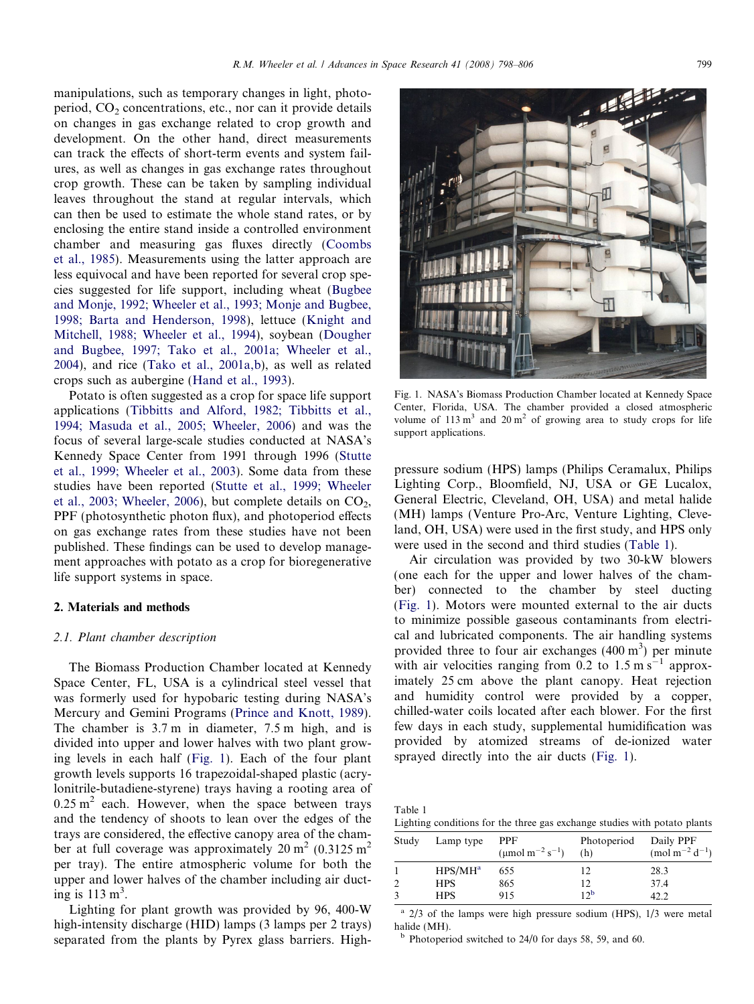<span id="page-1-0"></span>manipulations, such as temporary changes in light, photoperiod,  $CO<sub>2</sub>$  concentrations, etc., nor can it provide details on changes in gas exchange related to crop growth and development. On the other hand, direct measurements can track the effects of short-term events and system failures, as well as changes in gas exchange rates throughout crop growth. These can be taken by sampling individual leaves throughout the stand at regular intervals, which can then be used to estimate the whole stand rates, or by enclosing the entire stand inside a controlled environment chamber and measuring gas fluxes directly ([Coombs](#page-7-0) [et al., 1985\)](#page-7-0). Measurements using the latter approach are less equivocal and have been reported for several crop species suggested for life support, including wheat [\(Bugbee](#page-7-0) [and Monje, 1992; Wheeler et al., 1993; Monje and Bugbee,](#page-7-0) [1998; Barta and Henderson, 1998\)](#page-7-0), lettuce [\(Knight and](#page-7-0) [Mitchell, 1988; Wheeler et al., 1994](#page-7-0)), soybean ([Dougher](#page-7-0) [and Bugbee, 1997; Tako et al., 2001a; Wheeler et al.,](#page-7-0) [2004](#page-7-0)), and rice [\(Tako et al., 2001a,b](#page-7-0)), as well as related crops such as aubergine [\(Hand et al., 1993](#page-7-0)).

Potato is often suggested as a crop for space life support applications ([Tibbitts and Alford, 1982; Tibbitts et al.,](#page-7-0) [1994; Masuda et al., 2005; Wheeler, 2006](#page-7-0)) and was the focus of several large-scale studies conducted at NASA's Kennedy Space Center from 1991 through 1996 [\(Stutte](#page-7-0) [et al., 1999; Wheeler et al., 2003](#page-7-0)). Some data from these studies have been reported [\(Stutte et al., 1999; Wheeler](#page-7-0) [et al., 2003; Wheeler, 2006\)](#page-7-0), but complete details on  $CO<sub>2</sub>$ , PPF (photosynthetic photon flux), and photoperiod effects on gas exchange rates from these studies have not been published. These findings can be used to develop management approaches with potato as a crop for bioregenerative life support systems in space.

### 2. Materials and methods

#### 2.1. Plant chamber description

The Biomass Production Chamber located at Kennedy Space Center, FL, USA is a cylindrical steel vessel that was formerly used for hypobaric testing during NASA's Mercury and Gemini Programs ([Prince and Knott, 1989\)](#page-7-0). The chamber is 3.7 m in diameter, 7.5 m high, and is divided into upper and lower halves with two plant growing levels in each half (Fig. 1). Each of the four plant growth levels supports 16 trapezoidal-shaped plastic (acrylonitrile-butadiene-styrene) trays having a rooting area of  $0.25$  m<sup>2</sup> each. However, when the space between trays and the tendency of shoots to lean over the edges of the trays are considered, the effective canopy area of the chamber at full coverage was approximately  $20 \text{ m}^2$  (0.3125 m<sup>2</sup>) per tray). The entire atmospheric volume for both the upper and lower halves of the chamber including air ducting is  $113 \text{ m}^3$ .

Lighting for plant growth was provided by 96, 400-W high-intensity discharge (HID) lamps (3 lamps per 2 trays) separated from the plants by Pyrex glass barriers. High-



Fig. 1. NASA's Biomass Production Chamber located at Kennedy Space Center, Florida, USA. The chamber provided a closed atmospheric volume of  $113 \text{ m}^3$  and  $20 \text{ m}^2$  of growing area to study crops for life support applications.

pressure sodium (HPS) lamps (Philips Ceramalux, Philips Lighting Corp., Bloomfield, NJ, USA or GE Lucalox, General Electric, Cleveland, OH, USA) and metal halide (MH) lamps (Venture Pro-Arc, Venture Lighting, Cleveland, OH, USA) were used in the first study, and HPS only were used in the second and third studies (Table 1).

Air circulation was provided by two 30-kW blowers (one each for the upper and lower halves of the chamber) connected to the chamber by steel ducting (Fig. 1). Motors were mounted external to the air ducts to minimize possible gaseous contaminants from electrical and lubricated components. The air handling systems provided three to four air exchanges  $(400 \text{ m}^3)$  per minute with air velocities ranging from  $0.2$  to  $1.5 \text{ m s}^{-1}$  approximately 25 cm above the plant canopy. Heat rejection and humidity control were provided by a copper, chilled-water coils located after each blower. For the first few days in each study, supplemental humidification was provided by atomized streams of de-ionized water sprayed directly into the air ducts (Fig. 1).

| Table 1 |                                                                           |  |  |  |  |
|---------|---------------------------------------------------------------------------|--|--|--|--|
|         | Lighting conditions for the three gas exchange studies with potato plants |  |  |  |  |

| Study | Lamp type  | <b>PPF</b><br>( $\mu$ mol m <sup>-2</sup> s <sup>-1</sup> ) | Photoperiod<br>(h) | Daily PPF<br>$\text{(mol m}^{-2} \text{d}^{-1})$ |
|-------|------------|-------------------------------------------------------------|--------------------|--------------------------------------------------|
|       | $HPS/MH^a$ | 655                                                         | 12                 | 28.3                                             |
|       | <b>HPS</b> | 865                                                         | 12                 | 37.4                                             |
|       | <b>HPS</b> | 915                                                         | 12 <sup>b</sup>    | 19 I                                             |

 $a$  2/3 of the lamps were high pressure sodium (HPS), 1/3 were metal halide (MH).

 $<sup>b</sup>$  Photoperiod switched to 24/0 for days 58, 59, and 60.</sup>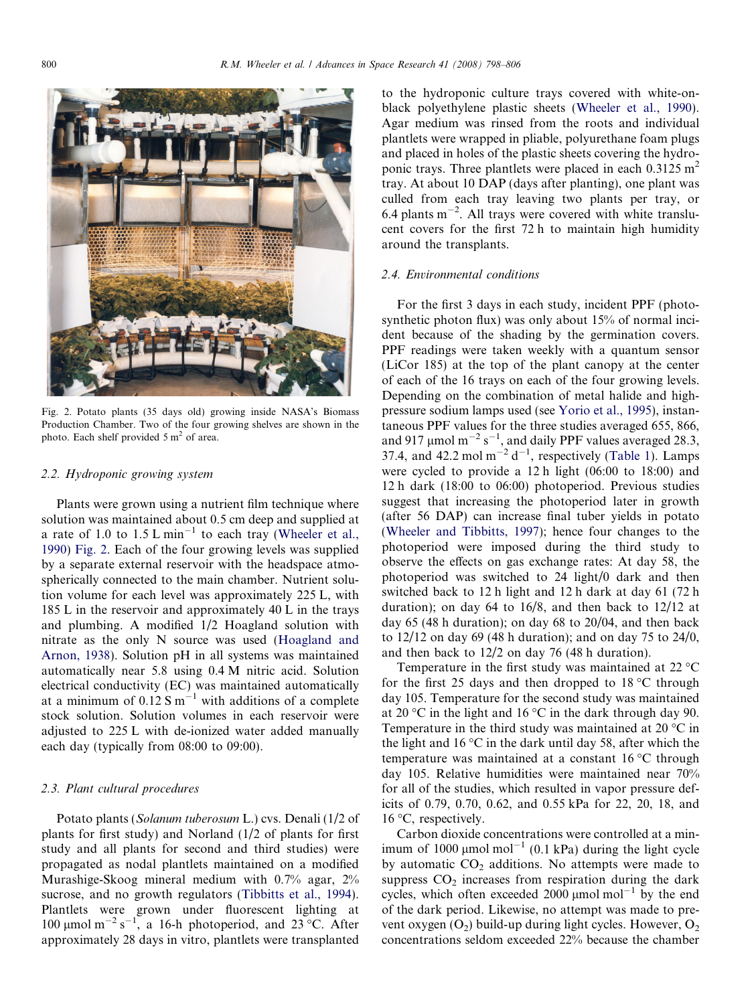

Fig. 2. Potato plants (35 days old) growing inside NASA's Biomass Production Chamber. Two of the four growing shelves are shown in the photo. Each shelf provided  $5 \text{ m}^2$  of area.

#### 2.2. Hydroponic growing system

Plants were grown using a nutrient film technique where solution was maintained about 0.5 cm deep and supplied at a rate of 1.0 to  $1.5 L min^{-1}$  to each tray ([Wheeler et al.,](#page-8-0) [1990\)](#page-8-0) Fig. 2. Each of the four growing levels was supplied by a separate external reservoir with the headspace atmospherically connected to the main chamber. Nutrient solution volume for each level was approximately 225 L, with 185 L in the reservoir and approximately 40 L in the trays and plumbing. A modified 1/2 Hoagland solution with nitrate as the only N source was used ([Hoagland and](#page-7-0) [Arnon, 1938](#page-7-0)). Solution pH in all systems was maintained automatically near 5.8 using 0.4 M nitric acid. Solution electrical conductivity (EC) was maintained automatically at a minimum of  $0.12 S m^{-1}$  with additions of a complete stock solution. Solution volumes in each reservoir were adjusted to 225 L with de-ionized water added manually each day (typically from 08:00 to 09:00).

#### 2.3. Plant cultural procedures

Potato plants (Solanum tuberosum L.) cvs. Denali (1/2 of plants for first study) and Norland (1/2 of plants for first study and all plants for second and third studies) were propagated as nodal plantlets maintained on a modified Murashige-Skoog mineral medium with 0.7% agar, 2% sucrose, and no growth regulators ([Tibbitts et al., 1994\)](#page-7-0). Plantlets were grown under fluorescent lighting at 100 µmol m<sup>-2</sup> s<sup>-1</sup>, a 16-h photoperiod, and 23 °C. After approximately 28 days in vitro, plantlets were transplanted to the hydroponic culture trays covered with white-onblack polyethylene plastic sheets [\(Wheeler et al., 1990\)](#page-8-0). Agar medium was rinsed from the roots and individual plantlets were wrapped in pliable, polyurethane foam plugs and placed in holes of the plastic sheets covering the hydroponic trays. Three plantlets were placed in each  $0.3125 \text{ m}^2$ tray. At about 10 DAP (days after planting), one plant was culled from each tray leaving two plants per tray, or  $6.4$  plants m<sup>-2</sup>. All trays were covered with white translucent covers for the first 72 h to maintain high humidity around the transplants.

### 2.4. Environmental conditions

For the first 3 days in each study, incident PPF (photosynthetic photon flux) was only about 15% of normal incident because of the shading by the germination covers. PPF readings were taken weekly with a quantum sensor (LiCor 185) at the top of the plant canopy at the center of each of the 16 trays on each of the four growing levels. Depending on the combination of metal halide and highpressure sodium lamps used (see [Yorio et al., 1995\)](#page-8-0), instantaneous PPF values for the three studies averaged 655, 866, and 917 µmol  $m^{-2} s^{-1}$ , and daily PPF values averaged 28.3, 37.4, and 42.2 mol  $m^{-2} d^{-1}$ , respectively [\(Table 1](#page-1-0)). Lamps were cycled to provide a 12 h light (06:00 to 18:00) and 12 h dark (18:00 to 06:00) photoperiod. Previous studies suggest that increasing the photoperiod later in growth (after 56 DAP) can increase final tuber yields in potato [\(Wheeler and Tibbitts, 1997\)](#page-8-0); hence four changes to the photoperiod were imposed during the third study to observe the effects on gas exchange rates: At day 58, the photoperiod was switched to 24 light/0 dark and then switched back to 12 h light and 12 h dark at day 61 (72 h duration); on day 64 to 16/8, and then back to 12/12 at day 65 (48 h duration); on day 68 to 20/04, and then back to 12/12 on day 69 (48 h duration); and on day 75 to 24/0, and then back to 12/2 on day 76 (48 h duration).

Temperature in the first study was maintained at  $22^{\circ}$ C for the first 25 days and then dropped to  $18 \degree C$  through day 105. Temperature for the second study was maintained at 20  $\rm{^{\circ}C}$  in the light and 16  $\rm{^{\circ}C}$  in the dark through day 90. Temperature in the third study was maintained at 20 $\degree$ C in the light and 16  $\degree$ C in the dark until day 58, after which the temperature was maintained at a constant  $16^{\circ}$ C through day 105. Relative humidities were maintained near 70% for all of the studies, which resulted in vapor pressure deficits of 0.79, 0.70, 0.62, and 0.55 kPa for 22, 20, 18, and  $16 °C$ , respectively.

Carbon dioxide concentrations were controlled at a minimum of 1000  $\mu$ mol mol<sup>-1</sup> (0.1 kPa) during the light cycle by automatic  $CO<sub>2</sub>$  additions. No attempts were made to suppress  $CO<sub>2</sub>$  increases from respiration during the dark cycles, which often exceeded  $2000 \mu$ mol mol<sup>-1</sup> by the end of the dark period. Likewise, no attempt was made to prevent oxygen  $(O_2)$  build-up during light cycles. However,  $O_2$ concentrations seldom exceeded 22% because the chamber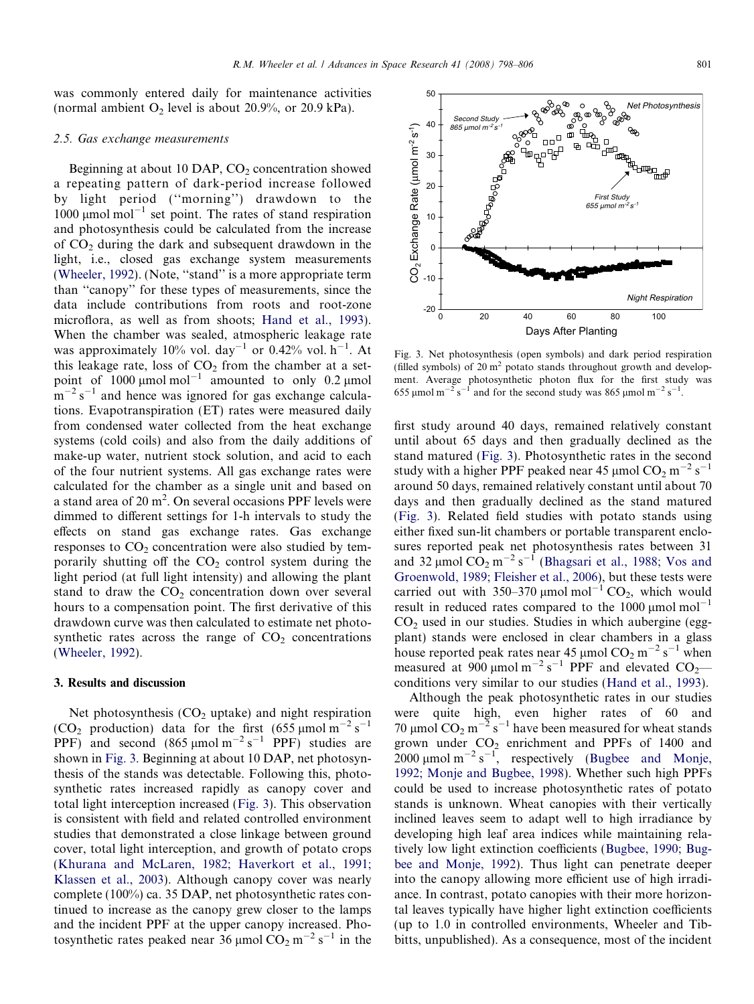<span id="page-3-0"></span>was commonly entered daily for maintenance activities (normal ambient  $O_2$  level is about 20.9%, or 20.9 kPa).

#### 2.5. Gas exchange measurements

Beginning at about 10 DAP,  $CO<sub>2</sub>$  concentration showed a repeating pattern of dark-period increase followed by light period (''morning'') drawdown to the 1000  $\mu$ mol mol<sup>-1</sup> set point. The rates of stand respiration and photosynthesis could be calculated from the increase of  $CO<sub>2</sub>$  during the dark and subsequent drawdown in the light, i.e., closed gas exchange system measurements ([Wheeler, 1992\)](#page-8-0). (Note, ''stand'' is a more appropriate term than ''canopy'' for these types of measurements, since the data include contributions from roots and root-zone microflora, as well as from shoots; [Hand et al., 1993\)](#page-7-0). When the chamber was sealed, atmospheric leakage rate was approximately 10% vol. day<sup>-1</sup> or 0.42% vol. h<sup>-1</sup>. At this leakage rate, loss of  $CO<sub>2</sub>$  from the chamber at a setpoint of  $1000 \mu$ mol mol<sup>-1</sup> amounted to only 0.2  $\mu$ mol  $\rm \overline{m}^{-2} \rm \overline{s}^{-1}$  and hence was ignored for gas exchange calculations. Evapotranspiration (ET) rates were measured daily from condensed water collected from the heat exchange systems (cold coils) and also from the daily additions of make-up water, nutrient stock solution, and acid to each of the four nutrient systems. All gas exchange rates were calculated for the chamber as a single unit and based on a stand area of 20  $m^2$ . On several occasions PPF levels were dimmed to different settings for 1-h intervals to study the effects on stand gas exchange rates. Gas exchange responses to  $CO<sub>2</sub>$  concentration were also studied by temporarily shutting off the  $CO<sub>2</sub>$  control system during the light period (at full light intensity) and allowing the plant stand to draw the  $CO<sub>2</sub>$  concentration down over several hours to a compensation point. The first derivative of this drawdown curve was then calculated to estimate net photosynthetic rates across the range of  $CO<sub>2</sub>$  concentrations ([Wheeler, 1992\)](#page-8-0).

## 3. Results and discussion

Net photosynthesis  $(CO<sub>2</sub>$  uptake) and night respiration (CO<sub>2</sub> production) data for the first  $(655 \text{ µmol m}^{-2} \text{ s}^{-1})$ PPF) and second  $(865 \,\mu mol \, m^{-2} \, s^{-1}$  PPF) studies are shown in Fig. 3. Beginning at about 10 DAP, net photosynthesis of the stands was detectable. Following this, photosynthetic rates increased rapidly as canopy cover and total light interception increased (Fig. 3). This observation is consistent with field and related controlled environment studies that demonstrated a close linkage between ground cover, total light interception, and growth of potato crops ([Khurana and McLaren, 1982; Haverkort et al., 1991;](#page-7-0) [Klassen et al., 2003](#page-7-0)). Although canopy cover was nearly complete (100%) ca. 35 DAP, net photosynthetic rates continued to increase as the canopy grew closer to the lamps and the incident PPF at the upper canopy increased. Photosynthetic rates peaked near  $36 \mu$ mol  $CO_2$  m<sup>-2</sup> s<sup>-1</sup> in the

Fig. 3. Net photosynthesis (open symbols) and dark period respiration (filled symbols) of  $20 \text{ m}^2$  potato stands throughout growth and development. Average photosynthetic photon flux for the first study was 655 µmol m<sup>-2</sup> s<sup>-1</sup> and for the second study was 865 µmol m<sup>-2</sup> s<sup>-1</sup>.

first study around 40 days, remained relatively constant until about 65 days and then gradually declined as the stand matured (Fig. 3). Photosynthetic rates in the second study with a higher PPF peaked near 45  $\mu$ mol CO<sub>2</sub> m<sup>-2</sup> s<sup>-1</sup> around 50 days, remained relatively constant until about 70 days and then gradually declined as the stand matured (Fig. 3). Related field studies with potato stands using either fixed sun-lit chambers or portable transparent enclosures reported peak net photosynthesis rates between 31 and 32 µmol  $\overline{CO}_2$  m<sup>-2</sup> s<sup>-1</sup> ([Bhagsari et al., 1988; Vos and](#page-7-0) [Groenwold, 1989; Fleisher et al., 2006](#page-7-0)), but these tests were carried out with 350–370  $\mu$ mol mol<sup>-1</sup> CO<sub>2</sub>, which would result in reduced rates compared to the  $1000 \mu$ mol mol<sup>-1</sup>  $CO<sub>2</sub>$  used in our studies. Studies in which aubergine (eggplant) stands were enclosed in clear chambers in a glass house reported peak rates near 45 µmol  $CO_2$  m<sup>-2</sup> s<sup>-1</sup> when measured at  $900 \mu$ mol m<sup>-2</sup> s<sup>-1</sup> PPF and elevated CO<sub>2</sub> conditions very similar to our studies [\(Hand et al., 1993](#page-7-0)).

Although the peak photosynthetic rates in our studies were quite high, even higher rates of 60 and 70 µmol  $CO_2$  m<sup>-2</sup> s<sup>-1</sup> have been measured for wheat stands grown under CO2 enrichment and PPFs of 1400 and  $2000 \mu$ mol m<sup>-2</sup> s<sup>-1</sup>, respectively ([Bugbee and Monje,](#page-7-0) [1992; Monje and Bugbee, 1998\)](#page-7-0). Whether such high PPFs could be used to increase photosynthetic rates of potato stands is unknown. Wheat canopies with their vertically inclined leaves seem to adapt well to high irradiance by developing high leaf area indices while maintaining relatively low light extinction coefficients [\(Bugbee, 1990; Bug](#page-7-0)[bee and Monje, 1992\)](#page-7-0). Thus light can penetrate deeper into the canopy allowing more efficient use of high irradiance. In contrast, potato canopies with their more horizontal leaves typically have higher light extinction coefficients (up to 1.0 in controlled environments, Wheeler and Tibbitts, unpublished). As a consequence, most of the incident



40

Second Study  $865$  umol m<sup>-2</sup> s

50

Net Photosynthesis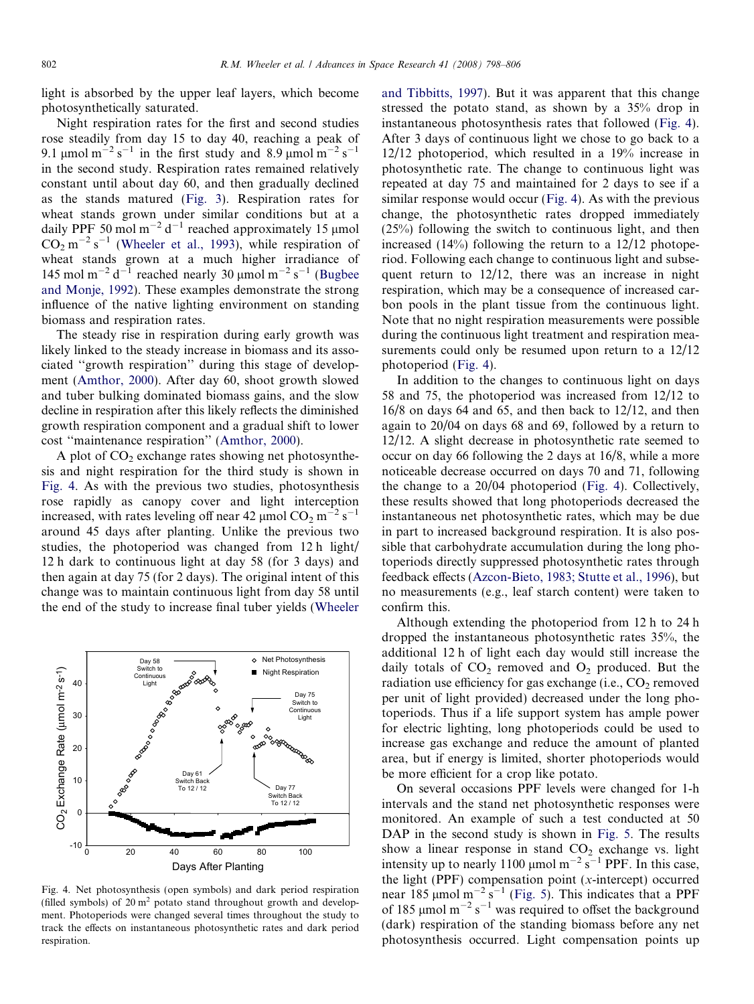light is absorbed by the upper leaf layers, which become photosynthetically saturated.

Night respiration rates for the first and second studies rose steadily from day 15 to day 40, reaching a peak of 9.1 µmol m<sup>-2</sup> s<sup>-1</sup> in the first study and 8.9 µmol m<sup>-2</sup> s<sup>-1</sup> in the second study. Respiration rates remained relatively constant until about day 60, and then gradually declined as the stands matured ([Fig. 3](#page-3-0)). Respiration rates for wheat stands grown under similar conditions but at a daily PPF 50 mol m<sup>-2</sup> d<sup>-1</sup> reached approximately 15  $\mu$ mol  $CO_2$  m<sup>-2</sup> s<sup>-1</sup> ([Wheeler et al., 1993\)](#page-8-0), while respiration of wheat stands grown at a much higher irradiance of 145 mol m<sup>-2</sup> d<sup>-1</sup> reached nearly 30  $\mu$ mol m<sup>-2</sup> s<sup>-1</sup> [\(Bugbee](#page-7-0) [and Monje, 1992\)](#page-7-0). These examples demonstrate the strong influence of the native lighting environment on standing biomass and respiration rates.

The steady rise in respiration during early growth was likely linked to the steady increase in biomass and its associated ''growth respiration'' during this stage of development [\(Amthor, 2000\)](#page-7-0). After day 60, shoot growth slowed and tuber bulking dominated biomass gains, and the slow decline in respiration after this likely reflects the diminished growth respiration component and a gradual shift to lower cost ''maintenance respiration'' ([Amthor, 2000\)](#page-7-0).

A plot of  $CO<sub>2</sub>$  exchange rates showing net photosynthesis and night respiration for the third study is shown in Fig. 4. As with the previous two studies, photosynthesis rose rapidly as canopy cover and light interception increased, with rates leveling off near 42  $\mu$ mol CO<sub>2</sub> m<sup>-2</sup> s<sup>-1</sup> around 45 days after planting. Unlike the previous two studies, the photoperiod was changed from 12 h light/ 12 h dark to continuous light at day 58 (for 3 days) and then again at day 75 (for 2 days). The original intent of this change was to maintain continuous light from day 58 until the end of the study to increase final tuber yields ([Wheeler](#page-8-0)



Fig. 4. Net photosynthesis (open symbols) and dark period respiration (filled symbols) of  $20 \text{ m}^2$  potato stand throughout growth and development. Photoperiods were changed several times throughout the study to track the effects on instantaneous photosynthetic rates and dark period respiration.

[and Tibbitts, 1997\)](#page-8-0). But it was apparent that this change stressed the potato stand, as shown by a 35% drop in instantaneous photosynthesis rates that followed (Fig. 4). After 3 days of continuous light we chose to go back to a 12/12 photoperiod, which resulted in a 19% increase in photosynthetic rate. The change to continuous light was repeated at day 75 and maintained for 2 days to see if a similar response would occur (Fig. 4). As with the previous change, the photosynthetic rates dropped immediately (25%) following the switch to continuous light, and then increased  $(14\%)$  following the return to a  $12/12$  photoperiod. Following each change to continuous light and subsequent return to 12/12, there was an increase in night respiration, which may be a consequence of increased carbon pools in the plant tissue from the continuous light. Note that no night respiration measurements were possible during the continuous light treatment and respiration measurements could only be resumed upon return to a  $12/12$ photoperiod (Fig. 4).

In addition to the changes to continuous light on days 58 and 75, the photoperiod was increased from 12/12 to 16/8 on days 64 and 65, and then back to 12/12, and then again to 20/04 on days 68 and 69, followed by a return to 12/12. A slight decrease in photosynthetic rate seemed to occur on day 66 following the 2 days at 16/8, while a more noticeable decrease occurred on days 70 and 71, following the change to a 20/04 photoperiod (Fig. 4). Collectively, these results showed that long photoperiods decreased the instantaneous net photosynthetic rates, which may be due in part to increased background respiration. It is also possible that carbohydrate accumulation during the long photoperiods directly suppressed photosynthetic rates through feedback effects [\(Azcon-Bieto, 1983; Stutte et al., 1996](#page-7-0)), but no measurements (e.g., leaf starch content) were taken to confirm this.

Although extending the photoperiod from 12 h to 24 h dropped the instantaneous photosynthetic rates 35%, the additional 12 h of light each day would still increase the daily totals of  $CO<sub>2</sub>$  removed and  $O<sub>2</sub>$  produced. But the radiation use efficiency for gas exchange (i.e.,  $CO<sub>2</sub>$  removed per unit of light provided) decreased under the long photoperiods. Thus if a life support system has ample power for electric lighting, long photoperiods could be used to increase gas exchange and reduce the amount of planted area, but if energy is limited, shorter photoperiods would be more efficient for a crop like potato.

On several occasions PPF levels were changed for 1-h intervals and the stand net photosynthetic responses were monitored. An example of such a test conducted at 50 DAP in the second study is shown in [Fig. 5.](#page-5-0) The results show a linear response in stand  $CO<sub>2</sub>$  exchange vs. light intensity up to nearly 1100  $\mu$ mol m<sup>-2</sup> s<sup>-1</sup> PPF. In this case, the light (PPF) compensation point  $(x$ -intercept) occurred near 185  $\mu$ mol m<sup>-2</sup> s<sup>-1</sup> [\(Fig. 5\)](#page-5-0). This indicates that a PPF of 185  $\mu$ mol m<sup>-2</sup> s<sup>-1</sup> was required to offset the background (dark) respiration of the standing biomass before any net photosynthesis occurred. Light compensation points up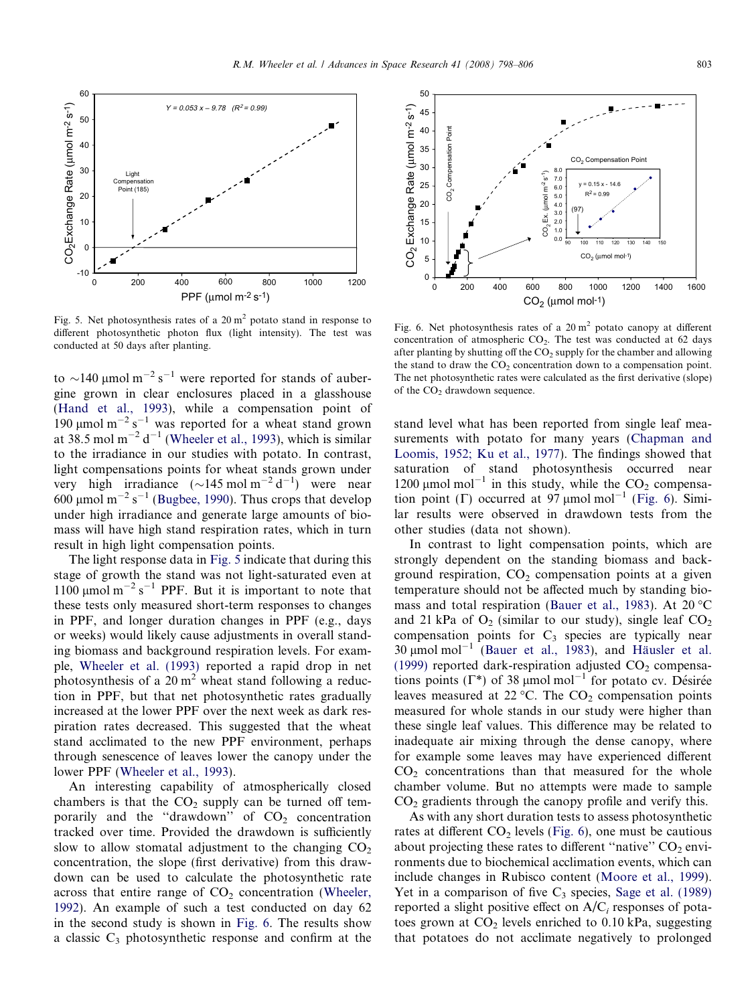<span id="page-5-0"></span>

Fig. 5. Net photosynthesis rates of a  $20 \text{ m}^2$  potato stand in response to different photosynthetic photon flux (light intensity). The test was conducted at 50 days after planting.

to  $\sim$ 140 µmol m<sup>-2</sup> s<sup>-1</sup> were reported for stands of aubergine grown in clear enclosures placed in a glasshouse ([Hand et al., 1993\)](#page-7-0), while a compensation point of 190  $\mu$ mol m<sup>-2</sup> s<sup>-1</sup> was reported for a wheat stand grown at 38.5 mol  $m^{-2} d^{-1}$  [\(Wheeler et al., 1993](#page-8-0)), which is similar to the irradiance in our studies with potato. In contrast, light compensations points for wheat stands grown under very high irradiance  $(\sim 145 \text{ mol m}^{-2} \text{ d}^{-1})$  were near 600 µmol m<sup>-2</sup> s<sup>-1</sup> [\(Bugbee, 1990](#page-7-0)). Thus crops that develop under high irradiance and generate large amounts of biomass will have high stand respiration rates, which in turn result in high light compensation points.

The light response data in Fig. 5 indicate that during this stage of growth the stand was not light-saturated even at 1100  $\mu$ mol m<sup>-2</sup> s<sup>-1</sup> PPF. But it is important to note that these tests only measured short-term responses to changes in PPF, and longer duration changes in PPF (e.g., days or weeks) would likely cause adjustments in overall standing biomass and background respiration levels. For example, [Wheeler et al. \(1993\)](#page-8-0) reported a rapid drop in net photosynthesis of a  $20 \text{ m}^2$  wheat stand following a reduction in PPF, but that net photosynthetic rates gradually increased at the lower PPF over the next week as dark respiration rates decreased. This suggested that the wheat stand acclimated to the new PPF environment, perhaps through senescence of leaves lower the canopy under the lower PPF ([Wheeler et al., 1993\)](#page-8-0).

An interesting capability of atmospherically closed chambers is that the  $CO<sub>2</sub>$  supply can be turned off temporarily and the "drawdown" of  $CO<sub>2</sub>$  concentration tracked over time. Provided the drawdown is sufficiently slow to allow stomatal adjustment to the changing  $CO<sub>2</sub>$ concentration, the slope (first derivative) from this drawdown can be used to calculate the photosynthetic rate across that entire range of  $CO<sub>2</sub>$  concentration ([Wheeler,](#page-8-0) [1992](#page-8-0)). An example of such a test conducted on day 62 in the second study is shown in Fig. 6. The results show a classic  $C_3$  photosynthetic response and confirm at the



Fig. 6. Net photosynthesis rates of a  $20 \text{ m}^2$  potato canopy at different concentration of atmospheric  $CO<sub>2</sub>$ . The test was conducted at 62 days after planting by shutting off the  $CO<sub>2</sub>$  supply for the chamber and allowing the stand to draw the  $CO<sub>2</sub>$  concentration down to a compensation point. The net photosynthetic rates were calculated as the first derivative (slope) of the  $CO<sub>2</sub>$  drawdown sequence.

stand level what has been reported from single leaf measurements with potato for many years ([Chapman and](#page-7-0) [Loomis, 1952; Ku et al., 1977](#page-7-0)). The findings showed that saturation of stand photosynthesis occurred near 1200  $\mu$ mol mol<sup>-1</sup> in this study, while the CO<sub>2</sub> compensation point ( $\Gamma$ ) occurred at 97 µmol mol<sup>-1</sup> (Fig. 6). Similar results were observed in drawdown tests from the other studies (data not shown).

In contrast to light compensation points, which are strongly dependent on the standing biomass and background respiration,  $CO<sub>2</sub>$  compensation points at a given temperature should not be affected much by standing bio-mass and total respiration ([Bauer et al., 1983](#page-7-0)). At 20  $^{\circ}$ C and 21 kPa of  $O_2$  (similar to our study), single leaf  $CO_2$ compensation points for  $C_3$  species are typically near 30  $\mu$ mol mol<sup>-1</sup> [\(Bauer et al., 1983](#page-7-0)), and Häusler et al. [\(1999\)](#page-7-0) reported dark-respiration adjusted  $CO<sub>2</sub>$  compensations points ( $\Gamma^*$ ) of 38 µmol mol<sup>-1</sup> for potato cv. Désirée leaves measured at 22 °C. The  $CO<sub>2</sub>$  compensation points measured for whole stands in our study were higher than these single leaf values. This difference may be related to inadequate air mixing through the dense canopy, where for example some leaves may have experienced different  $CO<sub>2</sub>$  concentrations than that measured for the whole chamber volume. But no attempts were made to sample  $CO<sub>2</sub>$  gradients through the canopy profile and verify this.

As with any short duration tests to assess photosynthetic rates at different  $CO<sub>2</sub>$  levels (Fig. 6), one must be cautious about projecting these rates to different "native"  $CO<sub>2</sub>$  environments due to biochemical acclimation events, which can include changes in Rubisco content ([Moore et al., 1999\)](#page-7-0). Yet in a comparison of five  $C_3$  species, [Sage et al. \(1989\)](#page-7-0) reported a slight positive effect on  $A/C<sub>i</sub>$  responses of potatoes grown at  $CO<sub>2</sub>$  levels enriched to 0.10 kPa, suggesting that potatoes do not acclimate negatively to prolonged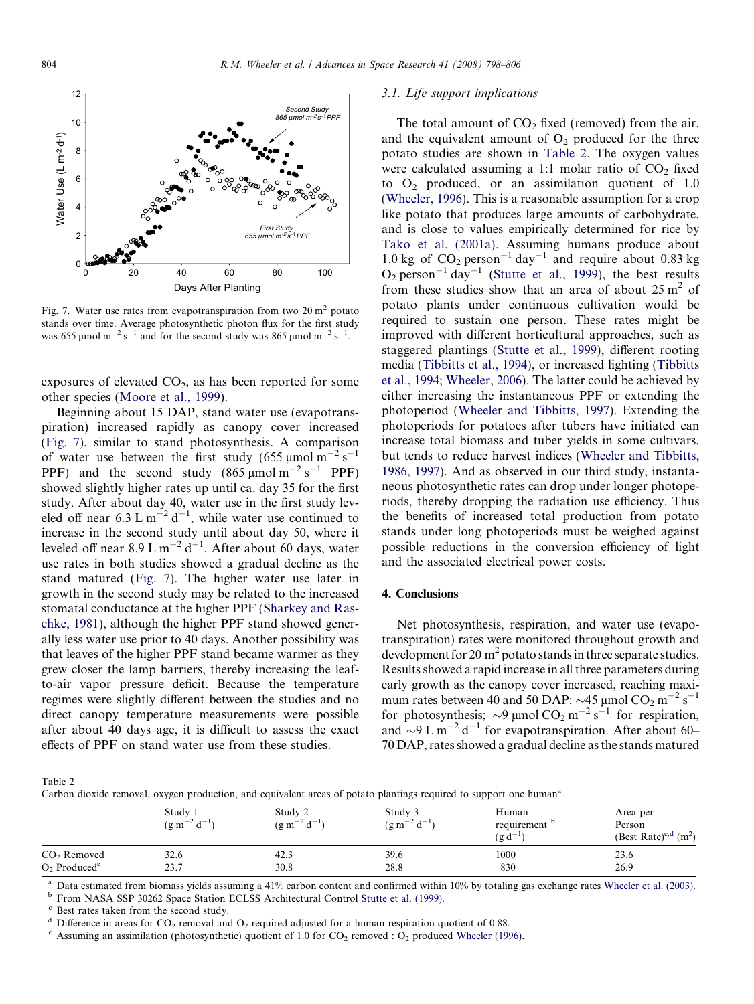

Fig. 7. Water use rates from evapotranspiration from two  $20 \text{ m}^2$  potato stands over time. Average photosynthetic photon flux for the first study was 655 µmol m<sup>-2</sup> s<sup>-1</sup> and for the second study was 865 µmol m<sup>-2</sup> s<sup>-1</sup>.

exposures of elevated  $CO<sub>2</sub>$ , as has been reported for some other species [\(Moore et al., 1999](#page-7-0)).

Beginning about 15 DAP, stand water use (evapotranspiration) increased rapidly as canopy cover increased (Fig. 7), similar to stand photosynthesis. A comparison of water use between the first study  $(655 \text{ µmol m}^{-2} \text{ s}^{-1})$ PPF) and the second study  $(865 \,\mu \text{mol m}^{-2} \text{ s}^{-1} \text{ PPF})$ showed slightly higher rates up until ca. day 35 for the first study. After about day 40, water use in the first study leveled off near 6.3 L  $m^{-2} d^{-1}$ , while water use continued to increase in the second study until about day 50, where it leveled off near 8.9 L m<sup>-2</sup> d<sup>-1</sup>. After about 60 days, water use rates in both studies showed a gradual decline as the stand matured (Fig. 7). The higher water use later in growth in the second study may be related to the increased stomatal conductance at the higher PPF [\(Sharkey and Ras](#page-7-0)[chke, 1981](#page-7-0)), although the higher PPF stand showed generally less water use prior to 40 days. Another possibility was that leaves of the higher PPF stand became warmer as they grew closer the lamp barriers, thereby increasing the leafto-air vapor pressure deficit. Because the temperature regimes were slightly different between the studies and no direct canopy temperature measurements were possible after about 40 days age, it is difficult to assess the exact effects of PPF on stand water use from these studies.

# 3.1. Life support implications

The total amount of  $CO<sub>2</sub>$  fixed (removed) from the air, and the equivalent amount of  $O<sub>2</sub>$  produced for the three potato studies are shown in Table 2. The oxygen values were calculated assuming a 1:1 molar ratio of  $CO<sub>2</sub>$  fixed to  $O<sub>2</sub>$  produced, or an assimilation quotient of 1.0 [\(Wheeler, 1996](#page-8-0)). This is a reasonable assumption for a crop like potato that produces large amounts of carbohydrate, and is close to values empirically determined for rice by [Tako et al. \(2001a\)](#page-7-0). Assuming humans produce about 1.0 kg of  $CO_2$  person<sup>-1</sup> day<sup>-1</sup> and require about 0.83 kg  $O_2$  person<sup>-1</sup> day<sup>-1</sup> [\(Stutte et al., 1999\)](#page-7-0), the best results from these studies show that an area of about  $25 \text{ m}^2$  of potato plants under continuous cultivation would be required to sustain one person. These rates might be improved with different horticultural approaches, such as staggered plantings ([Stutte et al., 1999\)](#page-7-0), different rooting media ([Tibbitts et al., 1994\)](#page-7-0), or increased lighting [\(Tibbitts](#page-7-0) [et al., 1994; Wheeler, 2006](#page-7-0)). The latter could be achieved by either increasing the instantaneous PPF or extending the photoperiod ([Wheeler and Tibbitts, 1997\)](#page-8-0). Extending the photoperiods for potatoes after tubers have initiated can increase total biomass and tuber yields in some cultivars, but tends to reduce harvest indices ([Wheeler and Tibbitts,](#page-8-0) [1986, 1997\)](#page-8-0). And as observed in our third study, instantaneous photosynthetic rates can drop under longer photoperiods, thereby dropping the radiation use efficiency. Thus the benefits of increased total production from potato stands under long photoperiods must be weighed against possible reductions in the conversion efficiency of light and the associated electrical power costs.

#### 4. Conclusions

Net photosynthesis, respiration, and water use (evapotranspiration) rates were monitored throughout growth and development for 20  $m<sup>2</sup>$  potato stands in three separate studies. Results showed a rapid increase in all three parameters during early growth as the canopy cover increased, reaching maximum rates between 40 and 50 DAP:  $\sim$ 45 µmol CO<sub>2</sub> m<sup>-2</sup> s<sup>-1</sup> for photosynthesis;  $\sim$ 9 µmol CO<sub>2</sub> m<sup>-2</sup> s<sup>-1</sup> for respiration, and  $\sim$ 9 L m<sup>-2</sup> d<sup>-1</sup> for evapotranspiration. After about 60-70 DAP, rates showed a gradual decline as the stands matured

Table 2

Carbon dioxide removal, oxygen production, and equivalent areas of potato plantings required to support one humana

|                            | Study 1            | Study 2             | Study 3             | Human        | Area per                          |  |
|----------------------------|--------------------|---------------------|---------------------|--------------|-----------------------------------|--|
|                            | $(g m^{-2} d^{-1}$ | $(g m^{-2} d^{-1})$ | $(g m^{-2} d^{-1})$ | requirement  | Person                            |  |
|                            |                    |                     |                     | $(g d^{-1})$ | (Best Rate) <sup>c,d</sup> $(m2)$ |  |
| CO <sub>2</sub> Removed    | 32.6               | 42.3                | 39.6                | 1000         | 23.6                              |  |
| $O2$ Produced <sup>e</sup> | 23.7               | 30.8                | 28.8                | 830          | 26.9                              |  |

<sup>a</sup> Data estimated from biomass yields assuming a 41% carbon content and confirmed within 10% by totaling gas exchange rates [Wheeler et al. \(2003\).](#page-8-0)<br><sup>b</sup> From NASA SSP 30262 Space Station ECLSS Architectural Control Stutte

<sup>c</sup> Best rates taken from the second study.

<sup>d</sup> Difference in areas for CO<sub>2</sub> removal and O<sub>2</sub> required adjusted for a human respiration quotient of 0.88. <br><sup>e</sup> Assuming an assimilation (photosynthetic) quotient of 1.0 for CO<sub>2</sub> removed : O<sub>2</sub> produced Wheeler (1996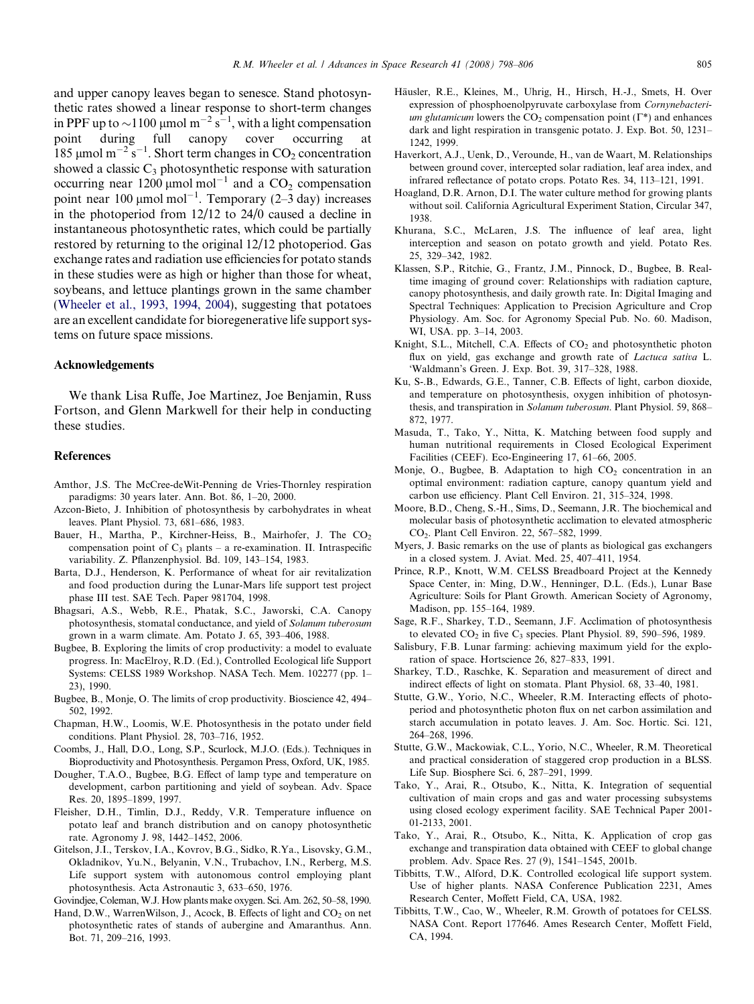<span id="page-7-0"></span>and upper canopy leaves began to senesce. Stand photosynthetic rates showed a linear response to short-term changes in PPF up to  $\sim$ 1100 µmol m<sup>-2</sup> s<sup>-1</sup>, with a light compensation point during full canopy cover occurring at 185 µmol m<sup>-2</sup> s<sup>-1</sup>. Short term changes in  $CO_2$  concentration showed a classic  $C_3$  photosynthetic response with saturation occurring near  $1200 \mu$ mol mol<sup>-1</sup> and a CO<sub>2</sub> compensation point near 100  $\mu$ mol mol<sup>-1</sup>. Temporary (2-3 day) increases in the photoperiod from 12/12 to 24/0 caused a decline in instantaneous photosynthetic rates, which could be partially restored by returning to the original 12/12 photoperiod. Gas exchange rates and radiation use efficiencies for potato stands in these studies were as high or higher than those for wheat, soybeans, and lettuce plantings grown in the same chamber ([Wheeler et al., 1993, 1994, 2004\)](#page-8-0), suggesting that potatoes are an excellent candidate for bioregenerative life support systems on future space missions.

## Acknowledgements

We thank Lisa Ruffe, Joe Martinez, Joe Benjamin, Russ Fortson, and Glenn Markwell for their help in conducting these studies.

## References

- Amthor, J.S. The McCree-deWit-Penning de Vries-Thornley respiration paradigms: 30 years later. Ann. Bot. 86, 1–20, 2000.
- Azcon-Bieto, J. Inhibition of photosynthesis by carbohydrates in wheat leaves. Plant Physiol. 73, 681–686, 1983.
- Bauer, H., Martha, P., Kirchner-Heiss, B., Mairhofer, J. The CO<sub>2</sub> compensation point of  $C_3$  plants – a re-examination. II. Intraspecific variability. Z. Pflanzenphysiol. Bd. 109, 143–154, 1983.
- Barta, D.J., Henderson, K. Performance of wheat for air revitalization and food production during the Lunar-Mars life support test project phase III test. SAE Tech. Paper 981704, 1998.
- Bhagsari, A.S., Webb, R.E., Phatak, S.C., Jaworski, C.A. Canopy photosynthesis, stomatal conductance, and yield of Solanum tuberosum grown in a warm climate. Am. Potato J. 65, 393–406, 1988.
- Bugbee, B. Exploring the limits of crop productivity: a model to evaluate progress. In: MacElroy, R.D. (Ed.), Controlled Ecological life Support Systems: CELSS 1989 Workshop. NASA Tech. Mem. 102277 (pp. 1– 23), 1990.
- Bugbee, B., Monje, O. The limits of crop productivity. Bioscience 42, 494– 502, 1992.
- Chapman, H.W., Loomis, W.E. Photosynthesis in the potato under field conditions. Plant Physiol. 28, 703–716, 1952.
- Coombs, J., Hall, D.O., Long, S.P., Scurlock, M.J.O. (Eds.). Techniques in Bioproductivity and Photosynthesis. Pergamon Press, Oxford, UK, 1985.
- Dougher, T.A.O., Bugbee, B.G. Effect of lamp type and temperature on development, carbon partitioning and yield of soybean. Adv. Space Res. 20, 1895–1899, 1997.
- Fleisher, D.H., Timlin, D.J., Reddy, V.R. Temperature influence on potato leaf and branch distribution and on canopy photosynthetic rate. Agronomy J. 98, 1442–1452, 2006.
- Gitelson, J.I., Terskov, I.A., Kovrov, B.G., Sidko, R.Ya., Lisovsky, G.M., Okladnikov, Yu.N., Belyanin, V.N., Trubachov, I.N., Rerberg, M.S. Life support system with autonomous control employing plant photosynthesis. Acta Astronautic 3, 633–650, 1976.
- Govindjee, Coleman, W.J. How plants make oxygen. Sci. Am. 262, 50–58, 1990.
- Hand, D.W., WarrenWilson, J., Acock, B. Effects of light and  $CO<sub>2</sub>$  on net photosynthetic rates of stands of aubergine and Amaranthus. Ann. Bot. 71, 209–216, 1993.
- Häusler, R.E., Kleines, M., Uhrig, H., Hirsch, H.-J., Smets, H. Over expression of phosphoenolpyruvate carboxylase from Cornynebacterium glutamicum lowers the  $CO<sub>2</sub>$  compensation point ( $\Gamma^*$ ) and enhances dark and light respiration in transgenic potato. J. Exp. Bot. 50, 1231– 1242, 1999.
- Haverkort, A.J., Uenk, D., Verounde, H., van de Waart, M. Relationships between ground cover, intercepted solar radiation, leaf area index, and infrared reflectance of potato crops. Potato Res. 34, 113–121, 1991.
- Hoagland, D.R. Arnon, D.I. The water culture method for growing plants without soil. California Agricultural Experiment Station, Circular 347, 1938.
- Khurana, S.C., McLaren, J.S. The influence of leaf area, light interception and season on potato growth and yield. Potato Res. 25, 329–342, 1982.
- Klassen, S.P., Ritchie, G., Frantz, J.M., Pinnock, D., Bugbee, B. Realtime imaging of ground cover: Relationships with radiation capture, canopy photosynthesis, and daily growth rate. In: Digital Imaging and Spectral Techniques: Application to Precision Agriculture and Crop Physiology. Am. Soc. for Agronomy Special Pub. No. 60. Madison, WI, USA. pp. 3–14, 2003.
- Knight, S.L., Mitchell, C.A. Effects of  $CO<sub>2</sub>$  and photosynthetic photon flux on yield, gas exchange and growth rate of Lactuca sativa L. 'Waldmann's Green. J. Exp. Bot. 39, 317–328, 1988.
- Ku, S-.B., Edwards, G.E., Tanner, C.B. Effects of light, carbon dioxide, and temperature on photosynthesis, oxygen inhibition of photosynthesis, and transpiration in Solanum tuberosum. Plant Physiol. 59, 868– 872, 1977.
- Masuda, T., Tako, Y., Nitta, K. Matching between food supply and human nutritional requirements in Closed Ecological Experiment Facilities (CEEF). Eco-Engineering 17, 61–66, 2005.
- Monje, O., Bugbee, B. Adaptation to high  $CO<sub>2</sub>$  concentration in an optimal environment: radiation capture, canopy quantum yield and carbon use efficiency. Plant Cell Environ. 21, 315–324, 1998.
- Moore, B.D., Cheng, S.-H., Sims, D., Seemann, J.R. The biochemical and molecular basis of photosynthetic acclimation to elevated atmospheric CO2. Plant Cell Environ. 22, 567–582, 1999.
- Myers, J. Basic remarks on the use of plants as biological gas exchangers in a closed system. J. Aviat. Med. 25, 407–411, 1954.
- Prince, R.P., Knott, W.M. CELSS Breadboard Project at the Kennedy Space Center, in: Ming, D.W., Henninger, D.L. (Eds.), Lunar Base Agriculture: Soils for Plant Growth. American Society of Agronomy, Madison, pp. 155–164, 1989.
- Sage, R.F., Sharkey, T.D., Seemann, J.F. Acclimation of photosynthesis to elevated  $CO<sub>2</sub>$  in five  $C<sub>3</sub>$  species. Plant Physiol. 89, 590–596, 1989.
- Salisbury, F.B. Lunar farming: achieving maximum yield for the exploration of space. Hortscience 26, 827–833, 1991.
- Sharkey, T.D., Raschke, K. Separation and measurement of direct and indirect effects of light on stomata. Plant Physiol. 68, 33–40, 1981.
- Stutte, G.W., Yorio, N.C., Wheeler, R.M. Interacting effects of photoperiod and photosynthetic photon flux on net carbon assimilation and starch accumulation in potato leaves. J. Am. Soc. Hortic. Sci. 121, 264–268, 1996.
- Stutte, G.W., Mackowiak, C.L., Yorio, N.C., Wheeler, R.M. Theoretical and practical consideration of staggered crop production in a BLSS. Life Sup. Biosphere Sci. 6, 287–291, 1999.
- Tako, Y., Arai, R., Otsubo, K., Nitta, K. Integration of sequential cultivation of main crops and gas and water processing subsystems using closed ecology experiment facility. SAE Technical Paper 2001- 01-2133, 2001.
- Tako, Y., Arai, R., Otsubo, K., Nitta, K. Application of crop gas exchange and transpiration data obtained with CEEF to global change problem. Adv. Space Res. 27 (9), 1541–1545, 2001b.
- Tibbitts, T.W., Alford, D.K. Controlled ecological life support system. Use of higher plants. NASA Conference Publication 2231, Ames Research Center, Moffett Field, CA, USA, 1982.
- Tibbitts, T.W., Cao, W., Wheeler, R.M. Growth of potatoes for CELSS. NASA Cont. Report 177646. Ames Research Center, Moffett Field, CA, 1994.